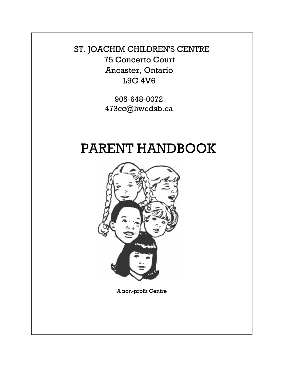ST. JOACHIM CHILDREN'S CENTRE 75 Concerto Court Ancaster, Ontario L9G 4V6

> 905-648-0072 473cc@hwcdsb.ca

# PARENT HANDBOOK



A non-profit Centre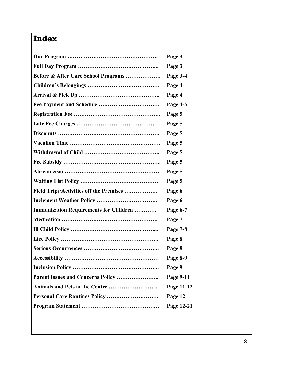## **Index**

| Page 3     |
|------------|
| Page 3     |
| Page 3-4   |
| Page 4     |
| Page 4     |
| Page 4-5   |
| Page 5     |
| Page 5     |
| Page 5     |
| Page 5     |
| Page 5     |
| Page 5     |
| Page 5     |
| Page 5     |
| Page 6     |
| Page 6     |
| Page 6-7   |
| Page 7     |
| Page 7-8   |
| Page 8     |
| Page 8     |
| Page 8-9   |
| Page 9     |
| Page 9-11  |
| Page 11-12 |
| Page 12    |
| Page 12-21 |
|            |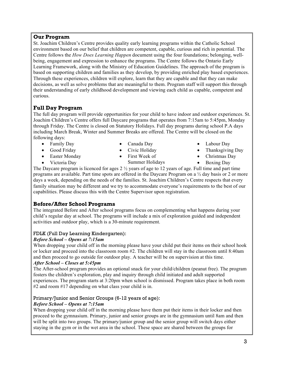## **Our Program**

St. Joachim Children's Centre provides quality early learning programs within the Catholic School environment based on our belief that children are competent, capable, curious and rich in potential. The Centre follows the *How Does Learning Happen* document using the four foundations; belonging, wellbeing, engagement and expression to enhance the programs. The Centre follows the Ontario Early Learning Framework, along with the Ministry of Education Guidelines. The approach of the program is based on supporting children and families as they develop, by providing enriched play based experiences. Through these experiences, children will explore, learn that they are capable and that they can make decisions, as well as solve problems that are meaningful to them. Program staff will support this through their understanding of early childhood development and viewing each child as capable, competent and curious.

## **Full Day Program**

The full day program will provide opportunities for your child to have indoor and outdoor experiences. St. Joachim Children's Centre offers full Daycare programs that operates from 7:15am to 5:45pm, Monday through Friday. The Centre is closed on Statutory Holidays. Full day programs during school P.A days including March Break, Winter and Summer Breaks are offered. The Centre will be closed on the following days:

- Family Day
- Good Friday
- Easter Monday
- Victoria Day
- Canada Day • Civic Holiday
- First Week of Summer Holidays
- Labour Day
- Thanksgiving Day
- Christmas Day
	- Boxing Day

The Daycare program is licenced for ages 2 ½ years of age to 12 years of age. Full time and part time programs are available. Part time spots are offered in the Daycare Program on a ½ day basis or 2 or more days a week, depending on the needs of the families. St. Joachim Children's Centre respects that every family situation may be different and we try to accommodate everyone's requirements to the best of our capabilities. Please discuss this with the Centre Supervisor upon registration.

## **Before/After School Programs**

The integrated Before and After school programs focus on complementing what happens during your child's regular day at school. The programs will include a mix of exploration guided and independent activities and outdoor play, which is a 30-minute requirement.

## FDLK (Full Day Learning Kindergarten):

## *Before School – Opens at 7:15am*

When dropping your child off in the morning please have your child put their items on their school hook or locker and proceed into the classroom room #2. The children will stay in the classroom until 8:40am and then proceed to go outside for outdoor play. A teacher will be on supervision at this time.

## *After School – Closes at 5:45pm*

The After-school program provides an optional snack for your child/children (peanut free). The program fosters the children's exploration, play and inquiry through child initiated and adult supported experiences. The program starts at 3:20pm when school is dismissed. Program takes place in both room #2 and room #17 depending on what class your child is in.

## Primary/Junior and Senior Groups (6-12 years of age):

## *Before School – Opens at 7:15am*

When dropping your child off in the morning please have them put their items in their locker and then proceed to the gymnasium. Primary, junior and senior groups are in the gymnasium until 8am and then will be split into two groups. The primary/junior group and the senior group will switch days either staying in the gym or in the wet area in the school. These space are shared between the groups for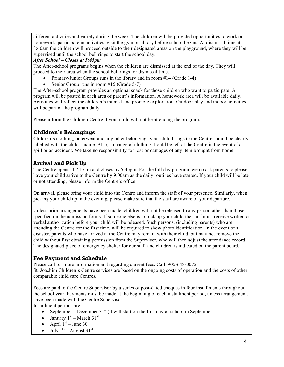different activities and variety during the week. The children will be provided opportunities to work on homework, participate in activities, visit the gym or library before school begins. At dismissal time at 8:40am the children will proceed outside to their designated areas on the playground, where they will be supervised until the school bell rings to start the school day.

#### *After School – Closes at 5:45pm*

The After-school programs begins when the children are dismissed at the end of the day. They will proceed to their area when the school bell rings for dismissal time.

- Primary/Junior Groups runs in the library and in room #14 (Grade 1-4)
- Senior Group runs in room  $#15$  (Grade 5-7)

The After-school program provides an optional snack for those children who want to participate. A program will be posted in each area of parent's information. A homework area will be available daily. Activities will reflect the children's interest and promote exploration. Outdoor play and indoor activities will be part of the program daily.

Please inform the Children Centre if your child will not be attending the program. 

## **Children's Belongings**

Children's clothing, outerwear and any other belongings your child brings to the Centre should be clearly labelled with the child's name. Also, a change of clothing should be left at the Centre in the event of a spill or an accident. We take no responsibility for loss or damages of any item brought from home.

## **Arrival and Pick Up**

The Centre opens at 7:15am and closes by 5:45pm. For the full day program, we do ask parents to please have your child arrive to the Centre by 9:00am as the daily routines have started. If your child will be late or not attending, please inform the Centre's office.

On arrival, please bring your child into the Centre and inform the staff of your presence. Similarly, when picking your child up in the evening, please make sure that the staff are aware of your departure.

Unless prior arrangements have been made, children will not be released to any person other than those specified on the admission forms. If someone else is to pick up your child the staff must receive written or verbal authorization before your child will be released. Such persons, (including parents) who are attending the Centre for the first time, will be required to show photo identification. In the event of a disaster, parents who have arrived at the Centre may remain with their child, but may not remove the child without first obtaining permission from the Supervisor, who will then adjust the attendance record. The designated place of emergency shelter for our staff and children is indicated on the parent board.

## **Fee Payment and Schedule**

Please call for more information and regarding current fees. Call: 905-648-0072 St. Joachim Children's Centre services are based on the ongoing costs of operation and the costs of other comparable child care Centres.

Fees are paid to the Centre Supervisor by a series of post-dated cheques in four installments throughout the school year. Payments must be made at the beginning of each installment period, unless arrangements have been made with the Centre Supervisor.

Installment periods are:

- September December  $31<sup>st</sup>$  (it will start on the first day of school in September)
- January  $1<sup>st</sup>$  March  $31<sup>st</sup>$
- April  $1<sup>st</sup>$  June  $30<sup>th</sup>$
- July  $1<sup>st</sup>$  August  $31<sup>st</sup>$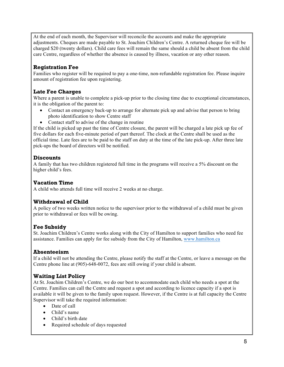At the end of each month, the Supervisor will reconcile the accounts and make the appropriate adjustments. Cheques are made payable to St. Joachim Children's Centre. A returned cheque fee will be charged \$20 (twenty dollars). Child care fees will remain the same should a child be absent from the child care Centre, regardless of whether the absence is caused by illness, vacation or any other reason.

## **Registration Fee**

Families who register will be required to pay a one-time, non-refundable registration fee. Please inquire amount of registration fee upon registering.

## **Late Fee Charges**

Where a parent is unable to complete a pick-up prior to the closing time due to exceptional circumstances, it is the obligation of the parent to:

- Contact an emergency back-up to arrange for alternate pick up and advise that person to bring photo identification to show Centre staff
- Contact staff to advise of the change in routine

If the child is picked up past the time of Centre closure, the parent will be charged a late pick up fee of five dollars for each five-minute period of part thereof. The clock at the Centre shall be used as the official time. Late fees are to be paid to the staff on duty at the time of the late pick-up. After three late pick-ups the board of directors will be notified.

## **Discounts**

A family that has two children registered full time in the programs will receive a 5% discount on the higher child's fees.

## **Vacation Time**

A child who attends full time will receive 2 weeks at no charge.

## **Withdrawal of Child**

A policy of two weeks written notice to the supervisor prior to the withdrawal of a child must be given prior to withdrawal or fees will be owing.

## **Fee Subsidy**

St. Joachim Children's Centre works along with the City of Hamilton to support families who need fee assistance. Families can apply for fee subsidy from the City of Hamilton, www.hamilton.ca

## **Absenteeism**

If a child will not be attending the Centre, please notify the staff at the Centre, or leave a message on the Centre phone line at (905)-648-0072, fees are still owing if your child is absent.

## **Waiting List Policy**

At St. Joachim Children's Centre, we do our best to accommodate each child who needs a spot at the Centre. Families can call the Centre and request a spot and according to licence capacity if a spot is available it will be given to the family upon request. However, if the Centre is at full capacity the Centre Supervisor will take the required information:

- Date of call
- Child's name
- Child's birth date
- Required schedule of days requested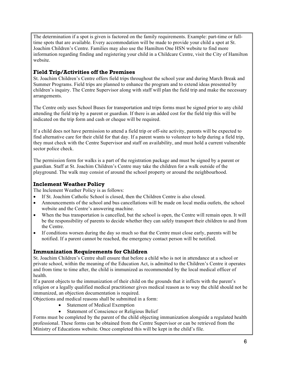The determination if a spot is given is factored on the family requirements. Example: part-time or fulltime spots that are available. Every accommodation will be made to provide your child a spot at St. Joachim Children's Centre. Families may also use the Hamilton One HSN website to find more information regarding finding and registering your child in a Childcare Centre, visit the City of Hamilton website.

## **Field Trip/Activities off the Premises**

St. Joachim Children's Centre offers field trips throughout the school year and during March Break and Summer Programs. Field trips are planned to enhance the program and to extend ideas presented by children's inquiry. The Centre Supervisor along with staff will plan the field trip and make the necessary arrangements.

The Centre only uses School Buses for transportation and trips forms must be signed prior to any child attending the field trip by a parent or guardian. If there is an added cost for the field trip this will be indicated on the trip form and cash or cheque will be required.

If a child does not have permission to attend a field trip or off-site activity, parents will be expected to find alternative care for their child for that day. If a parent wants to volunteer to help during a field trip, they must check with the Centre Supervisor and staff on availability, and must hold a current vulnerable sector police check.

The permission form for walks is a part of the registration package and must be signed by a parent or guardian. Staff at St. Joachim Children's Centre may take the children for a walk outside of the playground. The walk may consist of around the school property or around the neighbourhood.

## **Inclement Weather Policy**

The Inclement Weather Policy is as follows:

- If St. Joachim Catholic School is closed, then the Children Centre is also closed.
- Announcements of the school and bus cancellations will be made on local media outlets, the school website and the Centre's answering machine.
- When the bus transportation is cancelled, but the school is open, the Centre will remain open. It will be the responsibility of parents to decide whether they can safely transport their children to and from the Centre.
- If conditions worsen during the day so much so that the Centre must close early, parents will be notified. If a parent cannot be reached, the emergency contact person will be notified.

## **Immunization Requirements for Children**

St. Joachim Children's Centre shall ensure that before a child who is not in attendance at a school or private school, within the meaning of the Education Act, is admitted to the Children's Centre it operates and from time to time after, the child is immunized as recommended by the local medical officer of health.

If a parent objects to the immunization of their child on the grounds that it inflicts with the parent's religion or a legally qualified medical practitioner gives medical reason as to way the child should not be immunized, an objection documentation is required.

Objections and medical reasons shall be submitted in a form:

- Statement of Medical Exemption
- Statement of Conscience or Religious Belief

Forms must be completed by the parent of the child objecting immunization alongside a regulated health professional. These forms can be obtained from the Centre Supervisor or can be retrieved from the Ministry of Educations website. Once completed this will be kept in the child's file.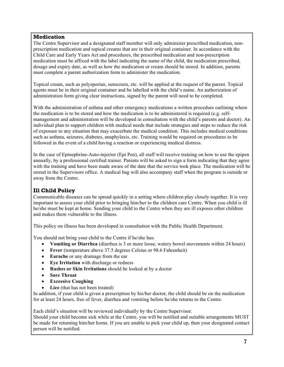## **Medication**

The Centre Supervisor and a designated staff member will only administer prescribed medication, nonprescription medication and topical creams that are in their original container. In accordance with the Child Care and Early Years Act and procedures, the prescribed medication and non-prescription medication must be affixed with the label indicating the name of the child, the medication prescribed, dosage and expiry date, as well as how the medication or cream should be stored. In addition, parents must complete a parent authorization form to administer the medication.

Topical cream, such as polysporian, sunscreen, etc. will be applied at the request of the parent. Topical agents must be in their original container and be labelled with the child's name. An authorization of administration form giving clear instructions, signed by the parent will need to be completed.

With the administration of asthma and other emergency medications a written procedure outlining where the medication is to be stored and how the medication is to be administered is required (e.g. selfmanagement and administration will be developed in consultation with the child's parents and doctor). An individual plan to support children with medical needs that include strategies and steps to reduce the risk of exposure to any situation that may exacerbate the medical condition. This includes medical conditions such as asthma, seizures, diabetes, anaphylaxis, etc. Training would be required on procedures to be followed in the event of a child having a reaction or experiencing medical distress.

In the case of Epinephrine-Auto-injector (Epi Pen), all staff will receive training on how to use the epipen annually, by a professional certified trainer. Parents will be asked to sign a form indicating that they agree with the training and have been made aware of the date that the service took place. The medication will be stored in the Supervisors office. A medical bag will also accompany staff when the program is outside or away from the Centre.

## **Ill Child Policy**

Communicable diseases can be spread quickly in a setting where children play closely together. It is very important to assess your child prior to bringing him/her to the children care Centre. When you child is ill he/she must be kept at home. Sending your child to the Centre when they are ill exposes other children and makes them vulnerable to the illness.

This policy on illness has been developed in consultation with the Public Health Department.

You should not bring your child to the Centre if he/she has:

- **Vomiting or Diarrhea** (diarrhea is 3 or more loose, watery bowel movements within 24 hours)
- **Fever** (temperature above 37.5 degrees Celsius or 98.6 Fahrenheit)
- **Earache** or any drainage from the ear
- **Eye Irritation** with discharge or redness
- **Rashes or Skin Irritations** should be looked at by a doctor
- **Sore Throat**
- **Excessive Coughing**
- **Lice** (that has not been treated)

In addition, if your child is given a prescription by his/her doctor, the child should be on the medication for at least 24 hours, free of fever, diarrhea and vomiting before he/she returns to the Centre.

Each child's situation will be reviewed individually by the Centre Supervisor.

Should your child become sick while at the Centre, you will be notified and suitable arrangements MUST be made for returning him/her home. If you are unable to pick your child up, then your designated contact person will be notified.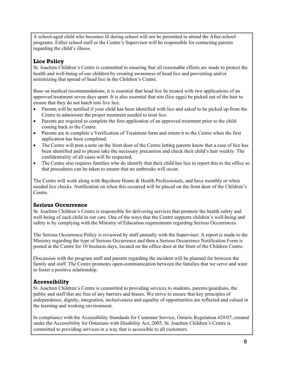A school-aged child who becomes ill during school will not be permitted to attend the After-school programs. Either school staff or the Centre's Supervisor will be responsible for contacting parents regarding the child's illness.

## **Lice Policy**

St. Joachim Children's Centre is committed to ensuring that all reasonable efforts are made to protect the health and well-being of our children by creating awareness of head lice and preventing and/or minimizing that spread of head lice in the Children's Centre.

Base on medical recommendations, it is essential that head lice be treated with two applications of an approved treatment seven days apart. It is also essential that nits (lice eggs) be picked out of the hair to ensure that they do not hatch into live lice.

- Parents will be notified if your child has been identified with lice and asked to be picked up from the Centre to administer the proper treatment needed to treat lice.
- Parents are required to complete the first application of an approved treatment prior to the child coming back to the Centre.
- Parents are to complete a Verification of Treatment form and return it to the Centre when the first application has been completed.
- The Centre will post a note on the front door of the Centre letting parents know that a case of lice has been identified and to please take the necessary precaution and check their child's hair weekly. The confidentiality of all cases will be respected.
- The Centre also requires families who do identify that their child has lice to report this to the office so that procedures can be taken to ensure that no outbreaks will occur.

The Centre will work along with Bayshore Home & Health Professionals, and have monthly or when needed lice checks. Notification on when this occurred will be placed on the front door of the Children's Centre.

## **Serious Occurrence**

St. Joachim Children's Centre is responsible for delivering services that promote the health safety and well-being of each child in our care. One of the ways that the Centre supports children's well-being and safety is by complying with the Ministry of Education requirements regarding Serious Occurrences.

The Serious Occurrence Policy is reviewed by staff annually with the Supervisor. A report is made to the Ministry regarding the type of Serious Occurrence and then a Serious Occurrence Notification Form is posted at the Centre for 10 business days, located on the office door at the front of the Children Centre.

Discussion with the program staff and parents regarding the incident will be planned for between the family and staff. The Centre promotes open-communication between the families that we serve and want to foster a positive relationship.

## **Accessibility**

St. Joachim Children's Centre is committed to providing services to students, parents/guardians, the public and staff that are free of any barriers and biases. We strive to ensure that key principles of independence, dignity, integration, inclusiveness and equality of opportunities are reflected and valued in the learning and working environment.

In compliance with the Accessibility Standards for Customer Service, Ontario Regulation 429/07, created under the Accessibility for Ontarians with Disability Act, 2005, St. Joachim Children's Centre is committed to providing services in a way that is accessible to all customers.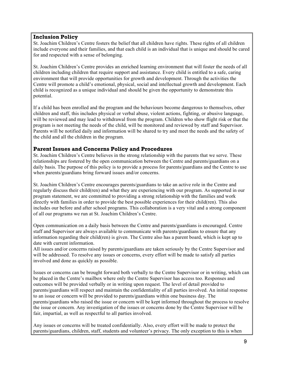## **Inclusion Policy**

St. Joachim Children's Centre fosters the belief that all children have rights. These rights of all children include everyone and their families, and that each child is an individual that is unique and should be cared for and respected with a sense of belonging.

St. Joachim Children's Centre provides an enriched learning environment that will foster the needs of all children including children that require support and assistance. Every child is entitled to a safe, caring environment that will provide opportunities for growth and development. Through the activities the Centre will promote a child's emotional, physical, social and intellectual growth and development. Each child is recognized as a unique individual and should be given the opportunity to demonstrate this potential.

If a child has been enrolled and the program and the behaviours become dangerous to themselves, other children and staff, this includes physical or verbal abuse, violent actions, fighting, or abusive language, will be reviewed and may lead to withdrawal from the program. Children who show flight risk or that the program is not meeting the needs of the child, will be monitored and reviewed by staff and Supervisor. Parents will be notified daily and information will be shared to try and meet the needs and the safety of the child and all the children in the program.

## **Parent Issues and Concerns Policy and Procedures**

St. Joachim Children's Centre believes in the strong relationship with the parents that we serve. These relationships are fostered by the open communication between the Centre and parents/guardians on a daily basis. The purpose of this policy is to provide a process for parents/guardians and the Centre to use when parents/guardians bring forward issues and/or concerns.

St. Joachim Children's Centre encourages parents/guardians to take an active role in the Centre and regularly discuss their child(ren) and what they are experiencing with our program. As supported in our program statement, we are committed to providing a strong relationship with the families and work directly with families in order to provide the best possible experiences for their child(ren). This also includes our before and after school programs. This collaboration is a very vital and a strong component of all our programs we run at St. Joachim Children's Centre.

Open communication on a daily basis between the Centre and parents/guardians is encouraged. Centre staff and Supervisor are always available to communicate with parents/guardians to ensure that any information regarding their child(ren) is given. The Centre also has a parent board, which is kept up to date with current information.

All issues and/or concerns raised by parents/guardians are taken seriously by the Centre Supervisor and will be addressed. To resolve any issues or concerns, every effort will be made to satisfy all parties involved and done as quickly as possible.

Issues or concerns can be brought forward both verbally to the Centre Supervisor or in writing, which can be placed in the Centre's mailbox where only the Centre Supervisor has access too. Responses and outcomes will be provided verbally or in writing upon request. The level of detail provided to parents/guardians will respect and maintain the confidentiality of all parties involved. An initial response to an issue or concern will be provided to parents/guardians within one business day. The parents/guardians who raised the issue or concern will be kept informed throughout the process to resolve the issue or concern. Any investigation of the issues or concerns done by the Centre Supervisor will be fair, impartial, as well as respectful to all parties involved.

Any issues or concerns will be treated confidentially. Also, every effort will be made to protect the parents/guardians, children, staff, students and volunteer's privacy. The only exception to this is when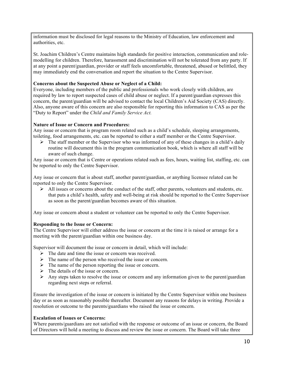information must be disclosed for legal reasons to the Ministry of Education, law enforcement and authorities, etc.

St. Joachim Children's Centre maintains high standards for positive interaction, communication and rolemodelling for children. Therefore, harassment and discrimination will not be tolerated from any party. If at any point a parent/guardian, provider or staff feels uncomfortable, threatened, abused or belittled, they may immediately end the conversation and report the situation to the Centre Supervisor.

#### **Concerns about the Suspected Abuse or Neglect of a Child:**

Everyone, including members of the public and professionals who work closely with children, are required by law to report suspected cases of child abuse or neglect. If a parent/guardian expresses this concern, the parent/guardian will be advised to contact the local Children's Aid Society (CAS) directly. Also, anyone aware of this concern are also responsible for reporting this information to CAS as per the "Duty to Report" under the *Child and Family Service Act.* 

#### **Nature of Issue or Concern and Procedures:**

Any issue or concern that is program room related such as a child's schedule, sleeping arrangements, toileting, food arrangements, etc. can be reported to either a staff member or the Centre Supervisor.

 $\triangleright$  The staff member or the Supervisor who was informed of any of these changes in a child's daily routine will document this in the program communication book, which is where all staff will be aware of such change.

Any issue or concern that is Centre or operations related such as fees, hours, waiting list, staffing, etc. can be reported to only the Centre Supervisor.

Any issue or concern that is about staff, another parent/guardian, or anything licensee related can be reported to only the Centre Supervisor.

 $\triangleright$  All issues or concerns about the conduct of the staff, other parents, volunteers and students, etc. that puts a child's health, safety and well-being at risk should be reported to the Centre Supervisor as soon as the parent/guardian becomes aware of this situation.

Any issue or concern about a student or volunteer can be reported to only the Centre Supervisor.

#### **Responding to the Issue or Concern:**

The Centre Supervisor will either address the issue or concern at the time it is raised or arrange for a meeting with the parent/guardian within one business day.

Supervisor will document the issue or concern in detail, which will include:

- $\triangleright$  The date and time the issue or concern was received.
- $\triangleright$  The name of the person who received the issue or concern.
- $\triangleright$  The name of the person reporting the issue or concern.
- $\triangleright$  The details of the issue or concern.
- $\triangleright$  Any steps taken to resolve the issue or concern and any information given to the parent/guardian regarding next steps or referral.

Ensure the investigation of the issue or concern is initiated by the Centre Supervisor within one business day or as soon as reasonably possible thereafter. Document any reasons for delays in writing. Provide a resolution or outcome to the parents/guardians who raised the issue or concern.

#### **Escalation of Issues or Concerns:**

Where parents/guardians are not satisfied with the response or outcome of an issue or concern, the Board of Directors will hold a meeting to discuss and review the issue or concern. The Board will take three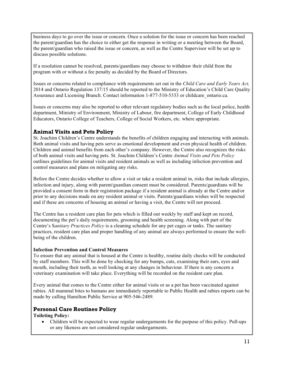business days to go over the issue or concern. Once a solution for the issue or concern has been reached the parent/guardian has the choice to either get the response in writing or a meeting between the Board, the parent/guardian who raised the issue or concern, as well as the Centre Supervisor will be set up to discuss possible solutions.

If a resolution cannot be resolved, parents/guardians may choose to withdraw their child from the program with or without a fee penalty as decided by the Board of Directors.

Issues or concerns related to compliance with requirements set out in the *Child Care and Early Years Act,*  2014 and Ontario Regulation 137/15 should be reported to the Ministry of Education's Child Care Quality Assurance and Licensing Branch. Contact information 1-877-510-5333 or childcare\_ontario.ca.

Issues or concerns may also be reported to other relevant regulatory bodies such as the local police, health department, Ministry of Environment, Ministry of Labour, fire department, College of Early Childhood Educators, Ontario College of Teachers, College of Social Workers, etc. where appropriate.

## **Animal Visits and Pets Policy**

St. Joachim Children's Centre understands the benefits of children engaging and interacting with animals. Both animal visits and having pets serve as emotional development and even physical health of children. Children and animal benefits from each other's company. However, the Centre also recognizes the risks of both animal visits and having pets. St. Joachim Children's Centre *Animal Visits and Pets Policy*  outlines guidelines for animal visits and resident animals as well as including infection prevention and control measures and plans on mitigating any risks.

Before the Centre decides whether to allow a visit or take a resident animal in, risks that include allergies, infection and injury, along with parent/guardian consent must be considered. Parents/guardians will be provided a consent form in their registration package if a resident animal is already at the Centre and/or prior to any decisions made on any resident animal or visits. Parents/guardians wishes will be respected and if these are concerns of housing an animal or having a visit, the Centre will not proceed.

The Centre has a resident care plan for pets which is filled out weekly by staff and kept on record, documenting the pet's daily requirements, grooming and health screening. Along with part of the Centre's S*anitary Practices Policy* is a cleaning schedule for any pet cages or tanks. The sanitary practices, resident care plan and proper handling of any animal are always performed to ensure the wellbeing of the children.

## **Infection Prevention and Control Measures**

To ensure that any animal that is housed at the Centre is healthy, routine daily checks will be conducted by staff members. This will be done by checking for any bumps, cuts, examining their ears, eyes and mouth, including their teeth, as well looking at any changes in behaviour. If there is any concern a veterinary examination will take place. Everything will be recorded on the resident care plan.

Every animal that comes to the Centre either for animal visits or as a pet has been vaccinated against rabies. All mammal bites to humans are immediately reportable to Public Health and rabies reports can be made by calling Hamilton Public Service at 905-546-2489.

## **Personal Care Routines Policy**

**Toileting Policy:** 

• Children will be expected to wear regular undergarments for the purpose of this policy. Pull-ups or any likeness are not considered regular undergarments.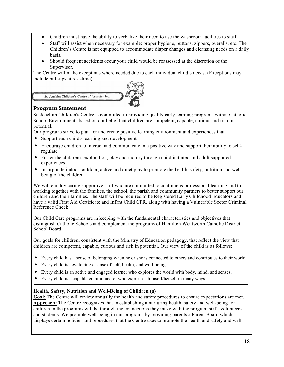- Children must have the ability to verbalize their need to use the washroom facilities to staff.
- Staff will assist when necessary for example: proper hygiene, buttons, zippers, overalls, etc. The Children's Centre is not equipped to accommodate diaper changes and cleansing needs on a daily basis.
- Should frequent accidents occur your child would be reassessed at the discretion of the Supervisor.

The Centre will make exceptions where needed due to each individual child's needs. (Exceptions may include pull-ups at rest-time).

St. Joachim Children's Centre of Ancaster Inc.



## **Program Statement**

St. Joachim Children's Centre is committed to providing quality early learning programs within Catholic School Environments based on our belief that children are competent, capable, curious and rich in potential.

Our programs strive to plan for and create positive learning environment and experiences that:

- Support each child's learning and development
- Encourage children to interact and communicate in a positive way and support their ability to selfregulate
- Foster the children's exploration, play and inquiry through child initiated and adult supported experiences
- Incorporate indoor, outdoor, active and quiet play to promote the health, safety, nutrition and wellbeing of the children.

We will employ caring supportive staff who are committed to continuous professional learning and to working together with the families, the school, the parish and community partners to better support our children and their families. The staff will be required to be Registered Early Childhood Educators and have a valid First Aid Certificate and Infant Child CPR, along with having a Vulnerable Sector Criminal Reference Check.

Our Child Care programs are in keeping with the fundamental characteristics and objectives that distinguish Catholic Schools and complement the programs of Hamilton Wentworth Catholic District School Board.

Our goals for children, consistent with the Ministry of Education pedagogy, that reflect the view that children are competent, capable, curious and rich in potential. Our view of the child is as follows:

- Every child has a sense of belonging when he or she is connected to others and contributes to their world.
- Every child is developing a sense of self, health, and well-being.
- Every child is an active and engaged learner who explores the world with body, mind, and senses.
- Every child is a capable communicator who expresses himself/herself in many ways.

## **Health, Safety, Nutrition and Well-Being of Children (a)**

**Goal:** The Centre will review annually the health and safety procedures to ensure expectations are met. **Approach:** The Centre recognizes that in establishing a nurturing health, safety and well-being for children in the programs will be through the connections they make with the program staff, volunteers and students. We promote well-being in our programs by providing parents a Parent Board which displays certain policies and procedures that the Centre uses to promote the health and safety and well-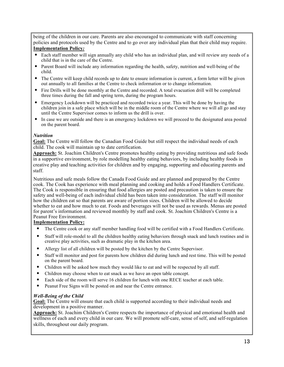being of the children in our care. Parents are also encouraged to communicate with staff concerning policies and protocols used by the Centre and to go over any individual plan that their child may require. **Implementation Policy***:*

- Each staff member will sign annually any child who has an individual plan, and will review any needs of a child that is in the care of the Centre.
- Parent Board will include any information regarding the health, safety, nutrition and well-being of the child.
- The Centre will keep child records up to date to ensure information is current, a form letter will be given out annually to all families at the Centre to check information or to change information.
- Fire Drills will be done monthly at the Centre and recorded. A total evacuation drill will be completed three times during the fall and spring term, during the program hours.
- Emergency Lockdown will be practiced and recorded twice a year. This will be done by having the children join in a safe place which will be in the middle room of the Centre where we will all go and stay until the Centre Supervisor comes to inform us the drill is over.
- In case we are outside and there is an emergency lockdown we will proceed to the designated area posted on the parent board.

#### *Nutrition*

**Goal:** The Centre will follow the Canadian Food Guide but still respect the individual needs of each child. The cook will maintain up to date certification.

**Approach:** St. Joachim Children's Centre promotes healthy eating by providing nutritious and safe foods in a supportive environment, by role modelling healthy eating behaviors, by including healthy foods in creative play and teaching activities for children and by engaging, supporting and educating parents and staff.

Nutritious and safe meals follow the Canada Food Guide and are planned and prepared by the Centre cook. The Cook has experience with meal planning and cooking and holds a Food Handlers Certificate. The Cook is responsible in ensuring that food allergies are posted and precaution is taken to ensure the safety and well-being of each individual child has been taken into consideration. The staff will monitor how the children eat so that parents are aware of portion sizes. Children will be allowed to decide whether to eat and how much to eat. Foods and beverages will not be used as rewards. Menus are posted for parent's information and reviewed monthly by staff and cook. St. Joachim Children's Centre is a Peanut Free Environment.

#### **Implementation Policy:**

- The Centre cook or any staff member handling food will be certified with a Food Handlers Certificate.
- Staff will role-model to all the children healthy eating behaviors through snack and lunch routines and in creative play activities, such as dramatic play in the kitchen area.
- Allergy list of all children will be posted by the kitchen by the Centre Supervisor.
- Staff will monitor and post for parents how children did during lunch and rest time. This will be posted on the parent board.
- Children will be asked how much they would like to eat and will be respected by all staff.
- Children may choose when to eat snack as we have an open table concept.
- Each side of the room will serve 16 children for lunch with one RECE teacher at each table.
- Peanut Free Signs will be posted on and near the Centre entrance.

#### *Well-Being of the Child*

**Goal:** The Centre will ensure that each child is supported according to their individual needs and development in a positive manner.

**Approach:** St. Joachim Children's Centre respects the importance of physical and emotional health and wellness of each and every child in our care. We will promote self-care, sense of self, and self-regulation skills, throughout our daily program.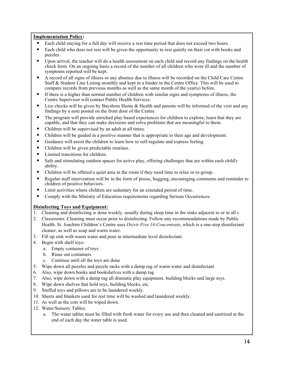#### **Implementation Policy:**

- Each child staying for a full day will receive a rest time period that does not exceed two hours.
- Each child who does not rest will be given the opportunity to rest quietly on their cot with books and puzzles.
- Upon arrival, the teacher will do a health assessment on each child and record any findings on the health check form. On an ongoing basis a record of the number of all children who were ill and the number of symptoms reported will be kept.
- A record of all signs of illness or any absence due to illness will be recorded on the Child Care Centre Staff & Student Line Listing monthly and kept in a binder in the Centre Office. This will be used to compare records from previous months as well as the same month of the year(s) before.
- If there is a higher than normal number of children with similar signs and symptoms of illness, the Centre Supervisor will contact Public Health Services.
- Lice checks will be given by Bayshore Home & Health and parents will be informed of the visit and any findings by a note posted on the front door of the Centre.
- The program will provide enriched play based experiences for children to explore, learn that they are capable, and that they can make decisions and solve problems that are meaningful to them.
- Children will be supervised by an adult at all times.
- Children will be guided in a positive manner that is appropriate to their age and development.
- Guidance will assist the children to learn how to self-regulate and express feeling.
- Children will be given predictable routines.
- Limited transitions for children.
- Safe and stimulating outdoor spaces for active play, offering challenges that are within each child's ability.
- Children will be offered a quiet area in the room if they need time to relax or re-group.
- Regular staff intervention will be in the form of praise, hugging, encouraging comments and reminder to children of positive behaviors.
- Limit activities where children are sedentary for an extended period of time.
- Comply with the Ministry of Education requirements regarding Serious Occurrences.

#### **Disinfecting Toys and Equipment:**

1. Cleaning and disinfecting is done weekly, usually during sleep time in the sinks adjacent to or in all c

- 2. Classrooms. Cleaning must occur prior to disinfecting. Follow any recommendations made by Public Health. St. Joachim Children's Centre uses *Oxivir Five 16 Concentrate*, which is a one-step disinfectant cleaner, as well as soap and warm water.
- 3. Fill up sink with warm water and pour in intermediate level disinfectant.
- 4. Begin with shelf toys:
	- a. Empty container of toys
	- b. Rinse out containers
	- c. Continue until all the toys are done
- 5. Wipe down all puzzles and puzzle racks with a damp rag of warm water and disinfectant
- 6. Also, wipe down books and bookshelves with a damp rag
- 7. Also, wipe down with a damp rag all dramatic play equipment, building blocks and large toys.
- 8. Wipe down shelves that hold toys, building blocks, etc.
- 9. Stuffed toys and pillows are to be laundered weekly.
- 10. Sheets and blankets used for rest time will be washed and laundered weekly.
- 11. As well as the cots will be wiped down.
- 12. Water/Sensory Tables:
	- a. The water tables must be filled with fresh water for every use and then cleaned and sanitized at the end of each day the water table is used.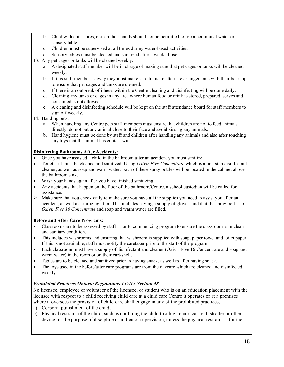- b. Child with cuts, sores, etc. on their hands should not be permitted to use a communal water or sensory table.
- c. Children must be supervised at all times during water-based activities.
- d. Sensory tables must be cleaned and sanitized after a week of use.
- 13. Any pet cages or tanks will be cleaned weekly.
	- a. A designated staff member will be in charge of making sure that pet cages or tanks will be cleaned weekly.
	- b. If this staff member is away they must make sure to make alternate arrangements with their back-up to ensure that pet cages and tanks are cleaned.
	- c. If there is an outbreak of illness within the Centre cleaning and disinfecting will be done daily.
	- d. Cleaning any tanks or cages in any area where human food or drink is stored, prepared, serves and consumed is not allowed.
	- e. A cleaning and disinfecting schedule will be kept on the staff attendance board for staff members to sign off weekly.
- 14. Handing pets.
	- a. When handling any Centre pets staff members must ensure that children are not to feed animals directly, do not put any animal close to their face and avoid kissing any animals.
	- b. Hand hygiene must be done by staff and children after handling any animals and also after touching any toys that the animal has contact with.

#### **Disinfecting Bathrooms After Accidents:**

- Once you have assisted a child in the bathroom after an accident you must sanitize.
- Toilet seat must be cleaned and sanitized. Using *Oxivir Five Concentrate* which is a one-step disinfectant cleaner, as well as soap and warm water. Each of these spray bottles will be located in the cabinet above the bathroom sink.
- Wash your hands again after you have finished sanitizing.
- Any accidents that happen on the floor of the bathroom/Centre, a school custodian will be called for assistance.
- $\triangleright$  Make sure that you check daily to make sure you have all the supplies you need to assist you after an accident, as well as sanitizing after. This includes having a supply of gloves, and that the spray bottles of *Oxivir Five 16 Concentrate* and soap and warm water are filled.

#### **Before and After Care Programs:**

- Classrooms are to be assessed by staff prior to commencing program to ensure the classroom is in clean and sanitary condition.
- This includes washrooms and ensuring that washroom is supplied with soap, paper towel and toilet paper. If this is not available, staff must notify the caretaker prior to the start of the program.
- Each classroom must have a supply of disinfectant and cleaner (Oxivir Five 16 Concentrate and soap and warm water) in the room or on their cart/shelf.
- Tables are to be cleaned and sanitized prior to having snack, as well as after having snack.
- The toys used in the before/after care programs are from the daycare which are cleaned and disinfected weekly.

#### *Prohibited Practices Ontario Regulations 137/15 Section 48*

No licensee, employee or volunteer of the licensee, or student who is on an education placement with the licensee with respect to a child receiving child care at a child care Centre it operates or at a premises where it oversees the provision of child care shall engage in any of the prohibited practices,

- a) Corporal punishment of the child;
- b) Physical restraint of the child, such as confining the child to a high chair, car seat, stroller or other device for the purpose of discipline or in lieu of supervision, unless the physical restraint is for the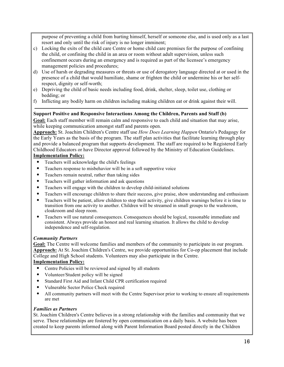purpose of preventing a child from hurting himself, herself or someone else, and is used only as a last resort and only until the risk of injury is no longer imminent;

- c) Locking the exits of the child care Centre or home child care premises for the purpose of confining the child, or confining the child in an area or room without adult supervision, unless such confinement occurs during an emergency and is required as part of the licensee's emergency management policies and procedures;
- d) Use of harsh or degrading measures or threats or use of derogatory language directed at or used in the presence of a child that would humiliate, shame or frighten the child or undermine his or her selfrespect, dignity or self-worth;
- e) Depriving the child of basic needs including food, drink, shelter, sleep, toilet use, clothing or bedding; or
- f) Inflicting any bodily harm on children including making children eat or drink against their will.

#### **Support Positive and Responsive Interactions Among the Children, Parents and Staff (b)**

**Goal:** Each staff member will remain calm and responsive to each child and situation that may arise, while keeping communication amongst staff and parents open.

**Approach:** St. Joachim Children's Centre staff use *How Does Learning Happen* Ontario's Pedagogy for the Early Years as the basis of the program. The staff plan activities that facilitate learning through play and provide a balanced program that supports development. The staff are required to be Registered Early Childhood Educators or have Director approval followed by the Ministry of Education Guidelines.

#### **Implementation Policy:**

- Teachers will acknowledge the child's feelings
- Teachers response to misbehavior will be in a soft supportive voice
- Teachers remain neutral, rather than taking sides
- Teachers will gather information and ask questions
- Teachers will engage with the children to develop child-initiated solutions
- Teachers will encourage children to share their success, give praise, show understanding and enthusiasm
- Teachers will be patient, allow children to stop their activity, give children warnings before it is time to transition from one activity to another. Children will be streamed in small groups to the washroom, cloakroom and sleep room.
- Teachers will use natural consequences. Consequences should be logical, reasonable immediate and consistent. Always provide an honest and real learning situation. It allows the child to develop independence and self-regulation.

## *Community Partners*

**Goal:** The Centre will welcome families and members of the community to participate in our program. **Approach:** At St. Joachim Children's Centre, we provide opportunities for Co-op placement that include College and High School students. Volunteers may also participate in the Centre.

#### **Implementation Policy:**

- Centre Policies will be reviewed and signed by all students
- Volunteer/Student policy will be signed
- Standard First Aid and Infant Child CPR certification required
- Vulnerable Sector Police Check required
- All community partners will meet with the Centre Supervisor prior to working to ensure all requirements are met

#### *Families as Partners*

St. Joachim Children's Centre believes in a strong relationship with the families and community that we serve. These relationships are fostered by open communication on a daily basis. A website has been created to keep parents informed along with Parent Information Board posted directly in the Children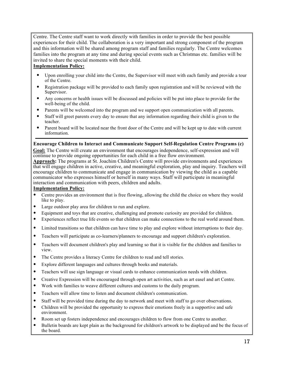Centre. The Centre staff want to work directly with families in order to provide the best possible experiences for their child. The collaboration is a very important and strong component of the program and this information will be shared among program staff and families regularly. The Centre welcomes families into the program at any time and during special events such as Christmas etc. families will be invited to share the special moments with their child.

## **Implementation Policy:**

- Upon enrolling your child into the Centre, the Supervisor will meet with each family and provide a tour of the Centre.
- Registration package will be provided to each family upon registration and will be reviewed with the Supervisor.
- Any concerns or health issues will be discussed and policies will be put into place to provide for the well-being of the child.
- Parents will be welcomed into the program and we support open communication with all parents.
- Staff will greet parents every day to ensure that any information regarding their child is given to the teacher.
- Parent board will be located near the front door of the Centre and will be kept up to date with current information.

**Encourage Children to Interact and Communicate Support Self-Regulation Centre Programs (c) Goal:** The Centre will create an environment that encourages independence, self-expression and will continue to provide ongoing opportunities for each child in a free flow environment.

**Approach:** The programs at St. Joachim Children's Centre will provide environments and experiences that will engage children in active, creative, and meaningful exploration, play and inquiry. Teachers will encourage children to communicate and engage in communication by viewing the child as a capable communicator who expresses himself or herself in many ways. Staff will participate in meaningful interaction and communication with peers, children and adults.

#### **Implementation Policy:**

- Centre provides an environment that is free flowing, allowing the child the choice on where they would like to play.
- Large outdoor play area for children to run and explore.
- Equipment and toys that are creative, challenging and promote curiosity are provided for children.
- Experiences reflect true life events so that children can make connections to the real world around them.
- Limited transitions so that children can have time to play and explore without interruptions to their day.
- Teachers will participate as co-learners/planners to encourage and support children's exploration.
- Teachers will document children's play and learning so that it is visible for the children and families to view.
- The Centre provides a literacy Centre for children to read and tell stories.
- Explore different languages and cultures through books and materials.
- Teachers will use sign language or visual cards to enhance communication needs with children.
- Creative Expression will be encouraged through open art activities, such as art easel and art Centre.
- Work with families to weave different cultures and customs to the daily program.
- Teachers will allow time to listen and document children's communication.
- Staff will be provided time during the day to network and meet with staff to go over observations.
- Children will be provided the opportunity to express their emotions freely in a supportive and safe environment.
- Room set up fosters independence and encourages children to flow from one Centre to another.
- Bulletin boards are kept plain as the background for children's artwork to be displayed and be the focus of the board.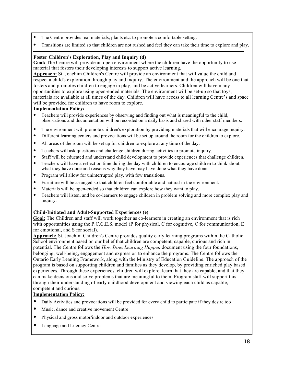- The Centre provides real materials, plants etc. to promote a comfortable setting.
- Transitions are limited so that children are not rushed and feel they can take their time to explore and play.

#### **Foster Children's Exploration, Play and Inquiry (d)**

**Goal:** The Centre will provide an open environment where the children have the opportunity to use material that fosters their developing interests to support active learning.

**Approach:** St. Joachim Children's Centre will provide an environment that will value the child and respect a child's exploration through play and inquiry. The environment and the approach will be one that fosters and promotes children to engage in play, and be active learners. Children will have many opportunities to explore using open-ended materials. The environment will be set-up so that toys, materials are available at all times of the day. Children will have access to all learning Centre's and space will be provided for children to have room to explore.

#### **Implementation Policy:**

- Teachers will provide experiences by observing and finding out what is meaningful to the child, observations and documentation will be recorded on a daily basis and shared with other staff members.
- The environment will promote children's exploration by providing materials that will encourage inquiry.
- Different learning centers and provocations will be set up around the room for the children to explore.
- All areas of the room will be set up for children to explore at any time of the day.
- Teachers will ask questions and challenge children during activities to promote inquiry.
- Staff will be educated and understand child development to provide experiences that challenge children.
- Teachers will have a reflection time during the day with children to encourage children to think about what they have done and reasons why they have may have done what they have done.
- Program will allow for uninterrupted play, with few transitions.
- Furniture will be arranged so that children feel comfortable and natural in the environment.
- Materials will be open-ended so that children can explore how they want to play.
- Teachers will listen, and be co-learners to engage children in problem solving and more complex play and inquiry.

#### **Child-Initiated and Adult-Supported Experiences (e)**

**Goal:** The Children and staff will work together as co-learners in creating an environment that is rich with opportunities using the P.C.C.E.S. model (P for physical, C for cognitive, C for communication, E for emotional, and S for social).

**Approach:** St. Joachim Children's Centre provides quality early learning programs within the Catholic School environment based on our belief that children are competent, capable, curious and rich in potential. The Centre follows the *How Does Learning Happen* document using the four foundations, belonging, well-being, engagement and expression to enhance the programs. The Centre follows the Ontario Early Leaning Framework, along with the Ministry of Education Guideline. The approach of the program is based on supporting children and families as they develop, by providing enriched play based experiences. Through these experiences, children will explore, learn that they are capable, and that they can make decisions and solve problems that are meaningful to them. Program staff will support this through their understanding of early childhood development and viewing each child as capable, competent and curious.

#### **Implementation Policy:**

- Daily Activities and provocations will be provided for every child to participate if they desire too
- Music, dance and creative movement Centre
- Physical and gross motor/indoor and outdoor experiences
- Language and Literacy Centre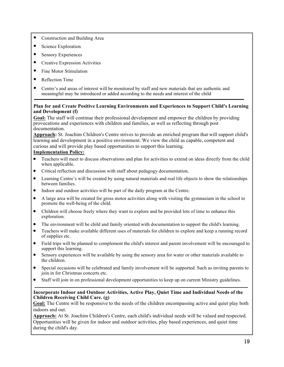- Construction and Building Area
- Science Exploration
- Sensory Experiences
- Creative Expression Activities
- Fine Motor Stimulation
- Reflection Time
- Centre's and areas of interest will be monitored by staff and new materials that are authentic and meaningful may be introduced or added according to the needs and interest of the child

#### **Plan for and Create Positive Learning Environments and Experiences to Support Child's Learning and Development (f)**

**Goal:** The staff will continue their professional development and empower the children by providing provocations and experiences with children and families, as well as reflecting through post documentation.

**Approach:** St. Joachim Children's Centre strives to provide an enriched program that will support child's learning and development in a positive environment. We view the child as capable, competent and curious and will provide play based opportunities to support this learning.

#### **Implementation Policy:**

- Teachers will meet to discuss observations and plan for activities to extend on ideas directly from the child when applicable.
- Critical reflection and discussion with staff about pedagogy documentation.
- Learning Centre's will be created by using natural materials and real life objects to show the relationships between families.
- Indoor and outdoor activities will be part of the daily program at the Centre.
- A large area will be created for gross motor activities along with visiting the gymnasium in the school to promote the well-being of the child.
- Children will choose freely where they want to explore and be provided lots of time to enhance this exploration.
- The environment will be child and family oriented with documentation to support the child's learning.
- Teachers will make available different uses of materials for children to explore and keep a running record of supplies etc.
- Field trips will be planned to complement the child's interest and parent involvement will be encouraged to support this learning.
- Sensory experiences will be available by using the sensory area for water or other materials available to the children.
- Special occasions will be celebrated and family involvement will be supported. Such as inviting parents to join in for Christmas concerts etc.
- Staff will join in on professional development opportunities to keep up on current Ministry guidelines.

#### **Incorporate Indoor and Outdoor Activities, Active Play, Quiet Time and Individual Needs of the Children Receiving Child Care. (g)**

Goal: The Centre will be responsive to the needs of the children encompassing active and quiet play both indoors and out.

**Approach:** At St. Joachim Children's Centre, each child's individual needs will be valued and respected. Opportunities will be given for indoor and outdoor activities, play based experiences, and quiet time during the child's day.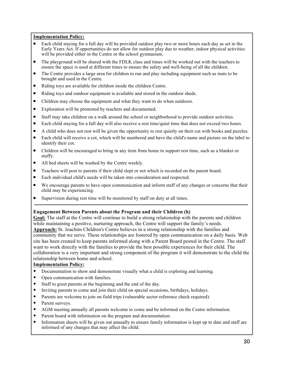#### **Implementation Policy:**

- Each child staying for a full day will be provided outdoor play two or more hours each day as set in the Early Years Act. If opportunities do not allow for outdoor play due to weather, indoor physical activities will be provided either in the Centre or the school gymnasium.
- The playground will be shared with the FDLK class and times will be worked out with the teachers to ensure the space is used at different times to ensure the safety and well-being of all the children.
- The Centre provides a large area for children to run and play including equipment such as mats to be brought and used in the Centre.
- Riding toys are available for children inside the children Centre.
- Riding toys and outdoor equipment is available and stored in the outdoor sheds.
- Children may choose the equipment and what they want to do when outdoors.
- Exploration will be promoted by teachers and documented.
- Staff may take children on a walk around the school or neighborhood to provide outdoor activities.
- Each child staying for a full day will also receive a rest time/quiet time that does not exceed two hours.
- A child who does not rest will be given the opportunity to rest quietly on their cot with books and puzzles.
- Each child will receive a cot, which will be numbered and have the child's name and picture on the label to identify their cot.
- Children will be encouraged to bring in any item from home to support rest time, such as a blanket or stuffy.
- All bed sheets will be washed by the Centre weekly.
- Teachers will post to parents if their child slept or not which is recorded on the parent board.
- Each individual child's needs will be taken into consideration and respected.
- We encourage parents to have open communication and inform staff of any changes or concerns that their child may be experiencing.
- Supervision during rest time will be monitored by staff on duty at all times.

#### **Engagement Between Parents about the Program and their Children (h)**

**Goal:** The staff at the Centre will continue to build a strong relationship with the parents and children while maintaining a positive, nurturing approach, the Centre will support the family's needs. **Approach:** St. Joachim Children's Centre believes in a strong relationship with the families and community that we serve. These relationships are fostered by open communication on a daily basis. Web site has been created to keep parents informed along with a Parent Board posted in the Centre. The staff want to work directly with the families to provide the best possible experiences for their child. The collaboration is a very important and strong component of the program it will demonstrate to the child the relationship between home and school.

#### **Implementation Policy:**

- Documentation to show and demonstrate visually what a child is exploring and learning.
- Open communication with families.
- Staff to greet parents at the beginning and the end of the day.
- Inviting parents to come and join their child on special occasions, birthdays, holidays.
- Parents are welcome to join on field trips (vulnerable sector reference check required).
- Parent surveys.
- AGM meeting annually all parents welcome to come and be informed on the Centre information.
- Parent board with information on the program and documentation.
- Information sheets will be given out annually to ensure family information is kept up to date and staff are informed of any changes that may affect the child.